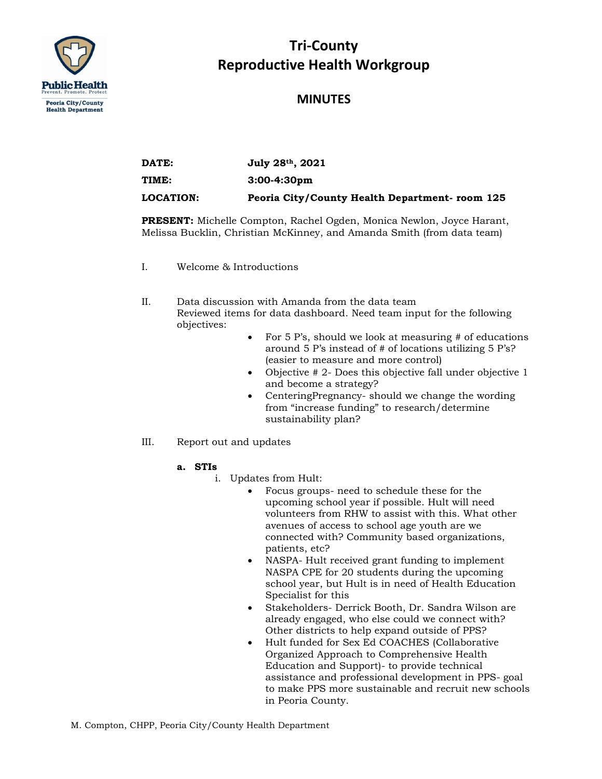

# **Tri-County Reproductive Health Workgroup**

### **MINUTES**

| DATE:            | July 28th, 2021                                |
|------------------|------------------------------------------------|
| TIME:            | $3:00-4:30 \text{pm}$                          |
| <b>LOCATION:</b> | Peoria City/County Health Department- room 125 |

**PRESENT:** Michelle Compton, Rachel Ogden, Monica Newlon, Joyce Harant, Melissa Bucklin, Christian McKinney, and Amanda Smith (from data team)

I. Welcome & Introductions

II. Data discussion with Amanda from the data team Reviewed items for data dashboard. Need team input for the following objectives:

- For 5 P's, should we look at measuring # of educations around 5 P's instead of # of locations utilizing 5 P's? (easier to measure and more control)
- Objective # 2- Does this objective fall under objective 1 and become a strategy?
- CenteringPregnancy- should we change the wording from "increase funding" to research/determine sustainability plan?
- III. Report out and updates
	- **a. STIs** 
		- i. Updates from Hult:
			- Focus groups- need to schedule these for the upcoming school year if possible. Hult will need volunteers from RHW to assist with this. What other avenues of access to school age youth are we connected with? Community based organizations, patients, etc?
			- NASPA- Hult received grant funding to implement NASPA CPE for 20 students during the upcoming school year, but Hult is in need of Health Education Specialist for this
			- Stakeholders- Derrick Booth, Dr. Sandra Wilson are already engaged, who else could we connect with? Other districts to help expand outside of PPS?
			- Hult funded for Sex Ed COACHES (Collaborative Organized Approach to Comprehensive Health Education and Support)- to provide technical assistance and professional development in PPS- goal to make PPS more sustainable and recruit new schools in Peoria County.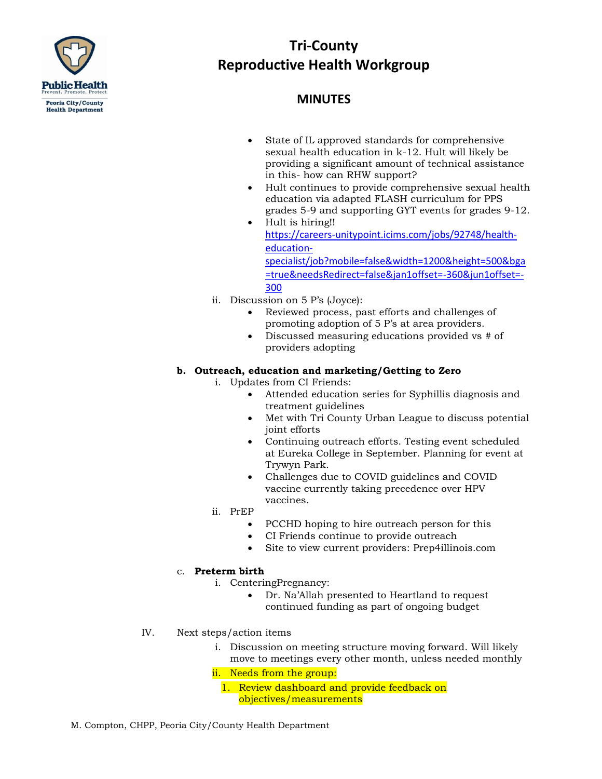

# **Tri-County Reproductive Health Workgroup**

### **MINUTES**

- State of IL approved standards for comprehensive sexual health education in k-12. Hult will likely be providing a significant amount of technical assistance in this- how can RHW support?
- Hult continues to provide comprehensive sexual health education via adapted FLASH curriculum for PPS grades 5-9 and supporting GYT events for grades 9-12.
- Hult is hiring!! [https://careers-unitypoint.icims.com/jobs/92748/health](https://gcc02.safelinks.protection.outlook.com/?url=https%3A%2F%2Fcareers-unitypoint.icims.com%2Fjobs%2F92748%2Fhealth-education-specialist%2Fjob%3Fmobile%3Dfalse%26width%3D1200%26height%3D500%26bga%3Dtrue%26needsRedirect%3Dfalse%26jan1offset%3D-360%26jun1offset%3D-300&data=04%7C01%7Cmcompton%40peoriacounty.org%7C9e0e9af36f514af104b308d952b2bf8d%7Ccdcf2aba83c24d05b8cbf0e00004e405%7C1%7C0%7C637631750148321447%7CUnknown%7CTWFpbGZsb3d8eyJWIjoiMC4wLjAwMDAiLCJQIjoiV2luMzIiLCJBTiI6Ik1haWwiLCJXVCI6Mn0%3D%7C1000&sdata=cvm2Z0TWki3zT9I6sJS8IG8bJExkSWIRmxgk57sqoWA%3D&reserved=0)[education-](https://gcc02.safelinks.protection.outlook.com/?url=https%3A%2F%2Fcareers-unitypoint.icims.com%2Fjobs%2F92748%2Fhealth-education-specialist%2Fjob%3Fmobile%3Dfalse%26width%3D1200%26height%3D500%26bga%3Dtrue%26needsRedirect%3Dfalse%26jan1offset%3D-360%26jun1offset%3D-300&data=04%7C01%7Cmcompton%40peoriacounty.org%7C9e0e9af36f514af104b308d952b2bf8d%7Ccdcf2aba83c24d05b8cbf0e00004e405%7C1%7C0%7C637631750148321447%7CUnknown%7CTWFpbGZsb3d8eyJWIjoiMC4wLjAwMDAiLCJQIjoiV2luMzIiLCJBTiI6Ik1haWwiLCJXVCI6Mn0%3D%7C1000&sdata=cvm2Z0TWki3zT9I6sJS8IG8bJExkSWIRmxgk57sqoWA%3D&reserved=0)

[specialist/job?mobile=false&width=1200&height=500&bga](https://gcc02.safelinks.protection.outlook.com/?url=https%3A%2F%2Fcareers-unitypoint.icims.com%2Fjobs%2F92748%2Fhealth-education-specialist%2Fjob%3Fmobile%3Dfalse%26width%3D1200%26height%3D500%26bga%3Dtrue%26needsRedirect%3Dfalse%26jan1offset%3D-360%26jun1offset%3D-300&data=04%7C01%7Cmcompton%40peoriacounty.org%7C9e0e9af36f514af104b308d952b2bf8d%7Ccdcf2aba83c24d05b8cbf0e00004e405%7C1%7C0%7C637631750148321447%7CUnknown%7CTWFpbGZsb3d8eyJWIjoiMC4wLjAwMDAiLCJQIjoiV2luMzIiLCJBTiI6Ik1haWwiLCJXVCI6Mn0%3D%7C1000&sdata=cvm2Z0TWki3zT9I6sJS8IG8bJExkSWIRmxgk57sqoWA%3D&reserved=0) [=true&needsRedirect=false&jan1offset=-360&jun1offset=-](https://gcc02.safelinks.protection.outlook.com/?url=https%3A%2F%2Fcareers-unitypoint.icims.com%2Fjobs%2F92748%2Fhealth-education-specialist%2Fjob%3Fmobile%3Dfalse%26width%3D1200%26height%3D500%26bga%3Dtrue%26needsRedirect%3Dfalse%26jan1offset%3D-360%26jun1offset%3D-300&data=04%7C01%7Cmcompton%40peoriacounty.org%7C9e0e9af36f514af104b308d952b2bf8d%7Ccdcf2aba83c24d05b8cbf0e00004e405%7C1%7C0%7C637631750148321447%7CUnknown%7CTWFpbGZsb3d8eyJWIjoiMC4wLjAwMDAiLCJQIjoiV2luMzIiLCJBTiI6Ik1haWwiLCJXVCI6Mn0%3D%7C1000&sdata=cvm2Z0TWki3zT9I6sJS8IG8bJExkSWIRmxgk57sqoWA%3D&reserved=0) [300](https://gcc02.safelinks.protection.outlook.com/?url=https%3A%2F%2Fcareers-unitypoint.icims.com%2Fjobs%2F92748%2Fhealth-education-specialist%2Fjob%3Fmobile%3Dfalse%26width%3D1200%26height%3D500%26bga%3Dtrue%26needsRedirect%3Dfalse%26jan1offset%3D-360%26jun1offset%3D-300&data=04%7C01%7Cmcompton%40peoriacounty.org%7C9e0e9af36f514af104b308d952b2bf8d%7Ccdcf2aba83c24d05b8cbf0e00004e405%7C1%7C0%7C637631750148321447%7CUnknown%7CTWFpbGZsb3d8eyJWIjoiMC4wLjAwMDAiLCJQIjoiV2luMzIiLCJBTiI6Ik1haWwiLCJXVCI6Mn0%3D%7C1000&sdata=cvm2Z0TWki3zT9I6sJS8IG8bJExkSWIRmxgk57sqoWA%3D&reserved=0)

- ii. Discussion on 5 P's (Joyce):
	- Reviewed process, past efforts and challenges of promoting adoption of 5 P's at area providers.
	- Discussed measuring educations provided vs # of providers adopting

#### **b. Outreach, education and marketing/Getting to Zero**

- i. Updates from CI Friends:
	- Attended education series for Syphillis diagnosis and treatment guidelines
	- Met with Tri County Urban League to discuss potential joint efforts
	- Continuing outreach efforts. Testing event scheduled at Eureka College in September. Planning for event at Trywyn Park.
	- Challenges due to COVID guidelines and COVID vaccine currently taking precedence over HPV vaccines.
- ii. PrEP
	- PCCHD hoping to hire outreach person for this
	- CI Friends continue to provide outreach
	- Site to view current providers: Prep4illinois.com

#### c. **Preterm birth**

- i. CenteringPregnancy:
	- Dr. Na'Allah presented to Heartland to request continued funding as part of ongoing budget
- IV. Next steps/action items
	- i. Discussion on meeting structure moving forward. Will likely move to meetings every other month, unless needed monthly
	- ii. Needs from the group:
		- 1. Review dashboard and provide feedback on objectives/measurements